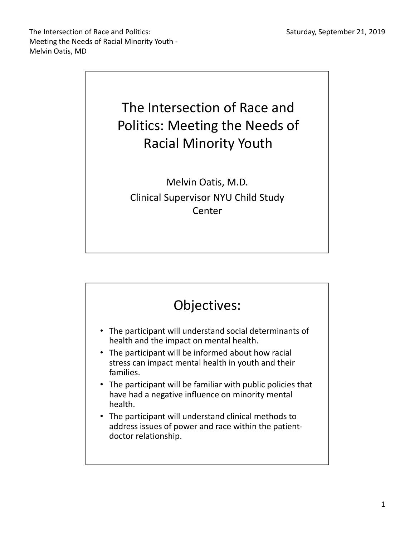The Intersection of Race and Politics: Meeting the Needs of Racial Minority Youth - Melvin Oatis, MD



Melvin Oatis, M.D. Clinical Supervisor NYU Child Study **Center** 

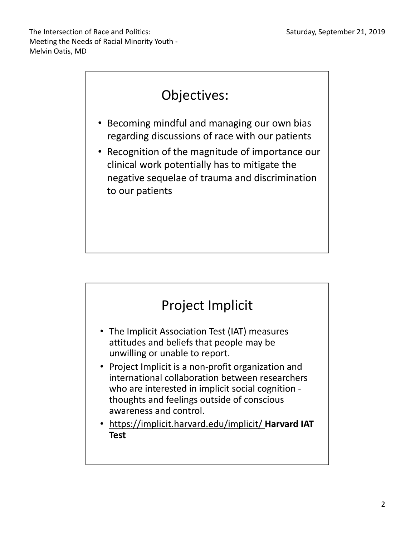

- Becoming mindful and managing our own bias regarding discussions of race with our patients
- Recognition of the magnitude of importance our clinical work potentially has to mitigate the negative sequelae of trauma and discrimination to our patients



- The Implicit Association Test (IAT) measures attitudes and beliefs that people may be unwilling or unable to report.
- Project Implicit is a non-profit organization and international collaboration between researchers who are interested in implicit social cognition thoughts and feelings outside of conscious awareness and control.
- https://implicit.harvard.edu/implicit/ **Harvard IAT Test**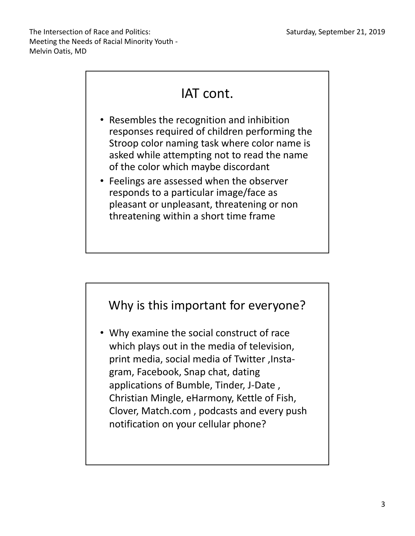# IAT cont.

- Resembles the recognition and inhibition responses required of children performing the Stroop color naming task where color name is asked while attempting not to read the name of the color which maybe discordant
- Feelings are assessed when the observer responds to a particular image/face as pleasant or unpleasant, threatening or non threatening within a short time frame



• Why examine the social construct of race which plays out in the media of television, print media, social media of Twitter ,Instagram, Facebook, Snap chat, dating applications of Bumble, Tinder, J-Date , Christian Mingle, eHarmony, Kettle of Fish, Clover, Match.com , podcasts and every push notification on your cellular phone?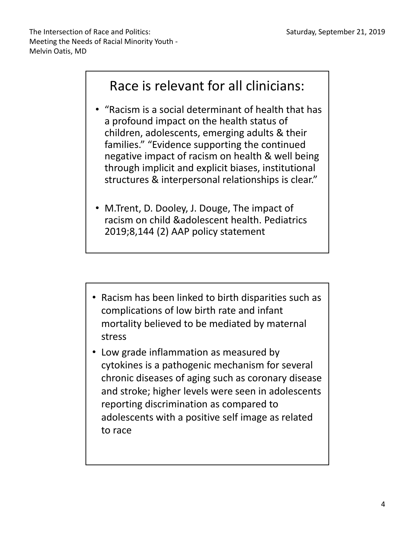### Race is relevant for all clinicians:

- "Racism is a social determinant of health that has a profound impact on the health status of children, adolescents, emerging adults & their families." "Evidence supporting the continued negative impact of racism on health & well being through implicit and explicit biases, institutional structures & interpersonal relationships is clear."
- M.Trent, D. Dooley, J. Douge, The impact of racism on child &adolescent health. Pediatrics 2019;8,144 (2) AAP policy statement
- Racism has been linked to birth disparities such as complications of low birth rate and infant mortality believed to be mediated by maternal stress
- Low grade inflammation as measured by cytokines is a pathogenic mechanism for several chronic diseases of aging such as coronary disease and stroke; higher levels were seen in adolescents reporting discrimination as compared to adolescents with a positive self image as related to race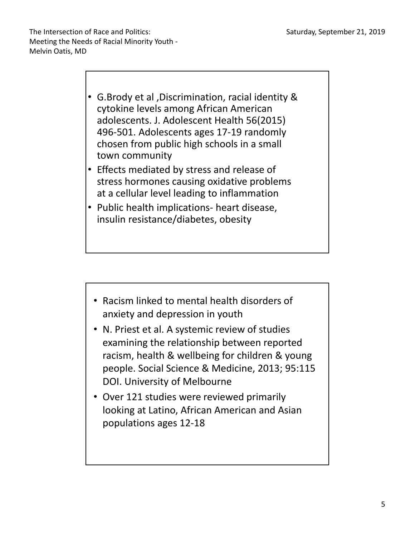- G.Brody et al ,Discrimination, racial identity & cytokine levels among African American adolescents. J. Adolescent Health 56(2015) 496-501. Adolescents ages 17-19 randomly chosen from public high schools in a small town community
- Effects mediated by stress and release of stress hormones causing oxidative problems at a cellular level leading to inflammation
- Public health implications- heart disease, insulin resistance/diabetes, obesity

- Racism linked to mental health disorders of anxiety and depression in youth
- N. Priest et al. A systemic review of studies examining the relationship between reported racism, health & wellbeing for children & young people. Social Science & Medicine, 2013; 95:115 DOI. University of Melbourne
- Over 121 studies were reviewed primarily looking at Latino, African American and Asian populations ages 12-18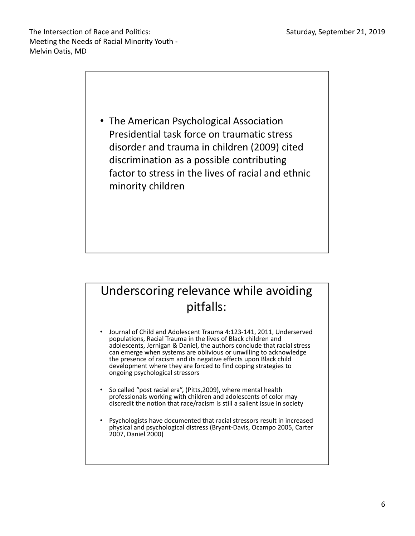

#### Underscoring relevance while avoiding pitfalls:

- Journal of Child and Adolescent Trauma 4:123-141, 2011, Underserved populations, Racial Trauma in the lives of Black children and adolescents, Jernigan & Daniel, the authors conclude that racial stress can emerge when systems are oblivious or unwilling to acknowledge the presence of racism and its negative effects upon Black child development where they are forced to find coping strategies to ongoing psychological stressors
- So called "post racial era", (Pitts,2009), where mental health professionals working with children and adolescents of color may discredit the notion that race/racism is still a salient issue in society
- Psychologists have documented that racial stressors result in increased physical and psychological distress (Bryant-Davis, Ocampo 2005, Carter 2007, Daniel 2000)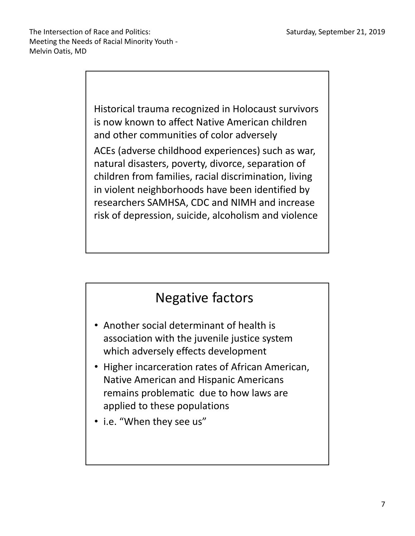Historical trauma recognized in Holocaust survivors is now known to affect Native American children and other communities of color adversely ACEs (adverse childhood experiences) such as war, natural disasters, poverty, divorce, separation of children from families, racial discrimination, living in violent neighborhoods have been identified by researchers SAMHSA, CDC and NIMH and increase risk of depression, suicide, alcoholism and violence

## Negative factors

- Another social determinant of health is association with the juvenile justice system which adversely effects development
- Higher incarceration rates of African American, Native American and Hispanic Americans remains problematic due to how laws are applied to these populations
- i.e. "When they see us"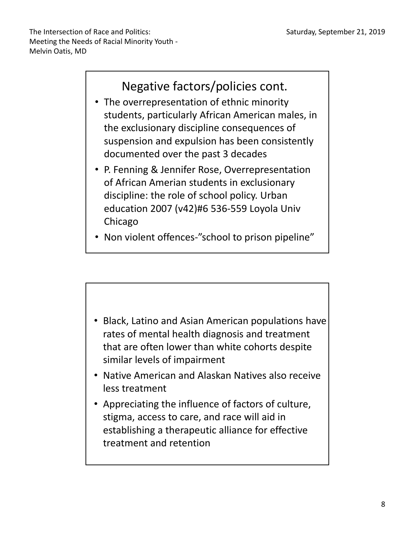

- The overrepresentation of ethnic minority students, particularly African American males, in the exclusionary discipline consequences of suspension and expulsion has been consistently documented over the past 3 decades
- P. Fenning & Jennifer Rose, Overrepresentation of African Amerian students in exclusionary discipline: the role of school policy. Urban education 2007 (v42)#6 536-559 Loyola Univ Chicago
- Non violent offences-"school to prison pipeline"



- less treatment
- Appreciating the influence of factors of culture, stigma, access to care, and race will aid in establishing a therapeutic alliance for effective treatment and retention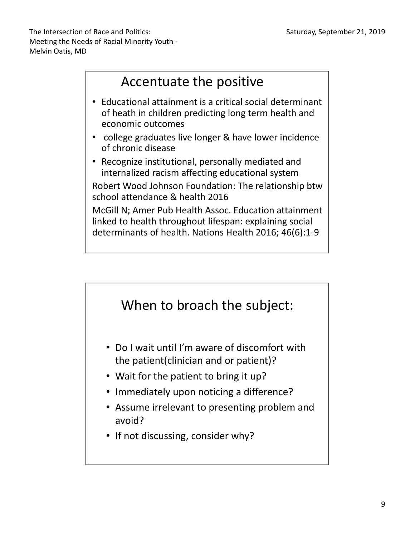The Intersection of Race and Politics: Meeting the Needs of Racial Minority Youth - Melvin Oatis, MD